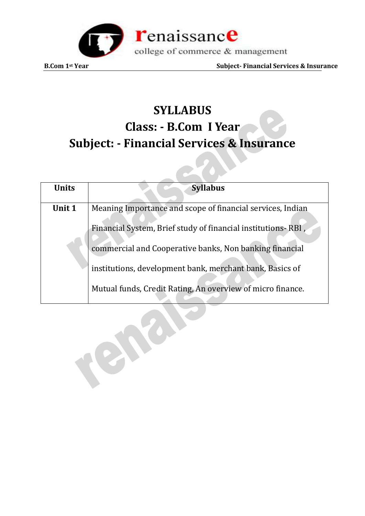

**B.Com** 1<sup>st</sup> Year Subject-Financial Services & Insurance

# **SYLLABUS Class: - B.Com I Year Subject: - Financial Services & Insurance**

| <b>Units</b> | <b>Syllabus</b>                                              |
|--------------|--------------------------------------------------------------|
| Unit 1       | Meaning Importance and scope of financial services, Indian   |
|              | Financial System, Brief study of financial institutions-RBI, |
|              | commercial and Cooperative banks, Non banking financial      |
|              | institutions, development bank, merchant bank, Basics of     |
|              | Mutual funds, Credit Rating, An overview of micro finance.   |

CAC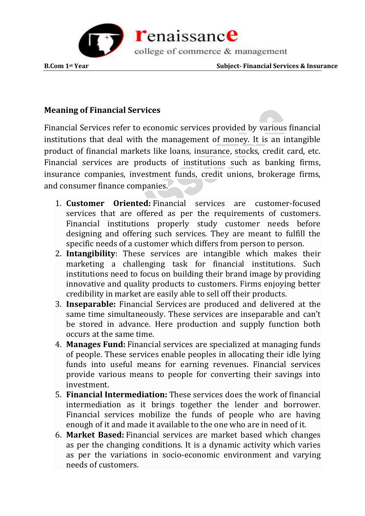

### **Meaning of Financial Services**

Financial Services refer to economic services provided by various financial institutions that deal with the management of money. It is an intangible product of financial markets like loans, insurance, stocks, credit card, etc. Financial services are products of institutions such as banking firms, insurance companies, investment funds, credit unions, brokerage firms, and consumer finance companies.

- 1. **Customer Oriented:** Financial services are customer-focused services that are offered as per the requirements of customers. Financial institutions properly study customer needs before designing and offering such services. They are meant to fulfill the specific needs of a customer which differs from person to person.
- 2. **Intangibility**: These services are intangible which makes their marketing a challenging task for financial institutions. Such institutions need to focus on building their brand image by providing innovative and quality products to customers. Firms enjoying better credibility in market are easily able to sell off their products.
- 3. **Inseparable:** Financial Services are produced and delivered at the same time simultaneously. These services are inseparable and can't be stored in advance. Here production and supply function both occurs at the same time.
- 4. **Manages Fund:** Financial services are specialized at managing funds of people. These services enable peoples in allocating their idle lying funds into useful means for earning revenues. Financial services provide various means to people for converting their savings into investment.
- 5. **Financial Intermediation:** These services does the work of financial intermediation as it brings together the lender and borrower. Financial services mobilize the funds of people who are having enough of it and made it available to the one who are in need of it.
- 6. **Market Based:** Financial services are market based which changes as per the changing conditions. It is a dynamic activity which varies as per the variations in socio-economic environment and varying needs of customers.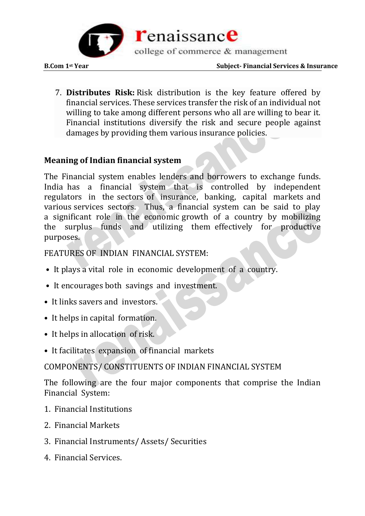

7. **Distributes Risk:** Risk distribution is the key feature offered by financial services. These services transfer the risk of an individual not willing to take among different persons who all are willing to bear it. Financial institutions diversify the risk and secure people against damages by providing them various insurance policies.

#### **Meaning of Indian financial system**

The Financial system enables lenders and borrowers to exchange funds. India has a financial system that is controlled by independent regulators in the sectors of insurance, banking, capital markets and various services sectors. Thus, a financial system can be said to play a significant role in the economic growth of a country by mobilizing the surplus funds and utilizing them effectively for productive purposes.

FEATURES OF INDIAN FINANCIAL SYSTEM:

- It plays a vital role in economic development of a country.
- It encourages both savings and investment.
- It links savers and investors.
- It helps in capital formation.
- It helps in allocation of risk.
- It facilitates expansion of financial markets

COMPONENTS/ CONSTITUENTS OF INDIAN FINANCIAL SYSTEM

The following are the four major components that comprise the Indian Financial System:

- 1. Financial Institutions
- 2. Financial Markets
- 3. Financial Instruments/ Assets/ Securities
- 4. Financial Services.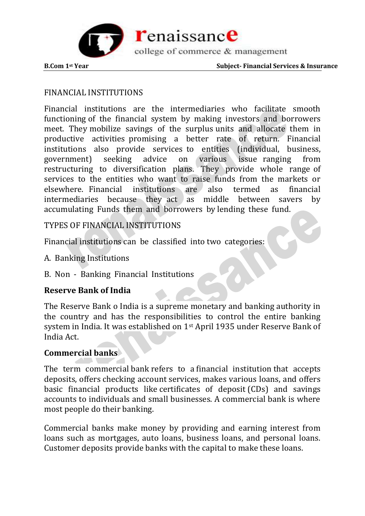

### FINANCIAL INSTITUTIONS

Financial institutions are the intermediaries who facilitate smooth functioning of the financial system by making investors and borrowers meet. They mobilize savings of the surplus units and allocate them in productive activities promising a better rate of return. Financial institutions also provide services to entities (individual, business, government) seeking advice on various issue ranging from restructuring to diversification plans. They provide whole range of services to the entities who want to raise funds from the markets or elsewhere. Financial institutions are also termed as financial intermediaries because they act as middle between savers by accumulating Funds them and borrowers by lending these fund.

#### TYPES OF FINANCIAL INSTITUTIONS

Financial institutions can be classified into two categories:

- A. Banking Institutions
- B. Non Banking Financial Institutions

#### **Reserve Bank of India**

The Reserve Bank o India is a supreme monetary and banking authority in the country and has the responsibilities to control the entire banking system in India. It was established on 1st April 1935 under Reserve Bank of India Act.

#### **Commercial banks**

The term commercial [bank](https://www.investopedia.com/terms/b/bank.asp) refers to a [financial institution](https://www.investopedia.com/terms/f/financialinstitution.asp) that accepts deposits, offers [checking account](https://www.investopedia.com/terms/c/checkingaccount.asp) services, makes various loans, and offers basic financial products like [certificates of deposit](https://www.investopedia.com/terms/c/certificateofdeposit.asp) (CDs) and savings accounts to individuals and small businesses. A commercial bank is where most people do their banking.

Commercial banks make money by providing and earning interest from loans such as mortgages, auto loans, business loans, and personal loans. Customer deposits provide banks with the capital to make these loans.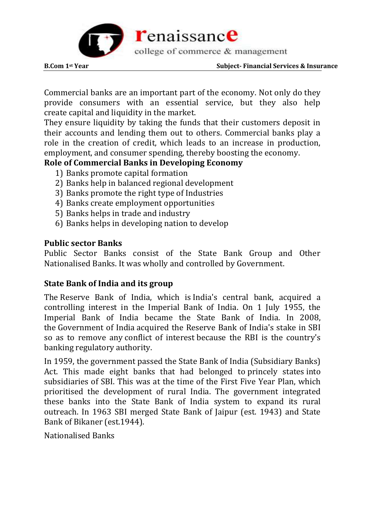

Commercial banks are an [important part of the economy.](https://www.investopedia.com/articles/investing/062513/role-commercial-banks-economy.asp) Not only do they provide consumers with an essential service, but they also help create [capital](https://www.investopedia.com/terms/c/capital.asp) and [liquidity](https://www.investopedia.com/terms/l/liquidity.asp) in the market.

They ensure liquidity by taking the funds that their customers deposit in their accounts and lending them out to others. Commercial banks play a role in the creation of credit, which leads to an increase in production, employment, and consumer spending, thereby boosting the economy.

## **Role of Commercial Banks in Developing Economy**

- 1) Banks promote capital formation
- 2) Banks help in balanced regional development
- 3) Banks promote the right type of Industries
- 4) Banks create employment opportunities
- 5) Banks helps in trade and industry
- 6) Banks helps in developing nation to develop

#### **Public sector Banks**

Public Sector Banks consist of the State Bank Group and Other Nationalised Banks. It was wholly and controlled by Government.

# **State Bank of India and its group**

The [Reserve Bank of India,](https://en.wikipedia.org/wiki/Reserve_Bank_of_India) which is [India's central bank,](https://en.wikipedia.org/wiki/Central_Bank) acquired a controlling interest in the Imperial Bank of India. On 1 July 1955, the Imperial Bank of India became the State Bank of India. In 2008, the [Government of India](https://en.wikipedia.org/wiki/Government_of_India) acquired the Reserve Bank of India's stake in SBI so as to remove any [conflict of interest](https://en.wikipedia.org/wiki/Conflict_of_interest) because the RBI is the country's banking regulatory authority.

In 1959, the government passed the State Bank of India (Subsidiary Banks) Act. This made eight banks that had belonged to [princely states](https://en.wikipedia.org/wiki/Indian_Princely_States) into subsidiaries of SBI. This was at the time of the First Five Year Plan, which prioritised the development of rural India. The government integrated these banks into the State Bank of India system to expand its rural outreach. In 1963 SBI merged State Bank of Jaipur (est. 1943) and State Bank of Bikaner (est.1944).

Nationalised Banks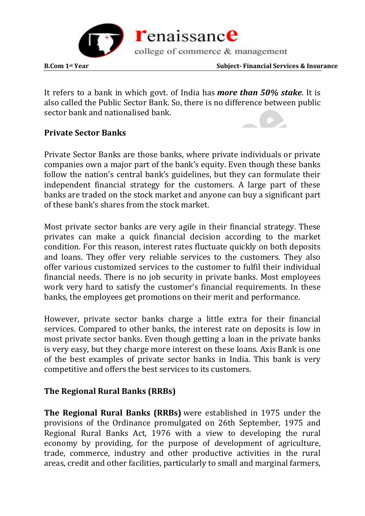

It refers to a bank in which govt. of India has *more than 50% stake*. It is also called the Public Sector Bank. So, there is no difference between public sector bank and nationalised bank.

#### **Private Sector Banks**

Private Sector Banks are those banks, where private individuals or private companies own a major part of the bank's equity. Even though these banks follow the nation's central bank's guidelines, but they can formulate their independent financial strategy for the customers. A large part of these banks are traded on the stock market and anyone can buy a significant part of these bank's shares from the stock market.

Most private sector banks are very agile in their financial strategy. These privates can make a quick financial decision according to the market condition. For this reason, interest rates fluctuate quickly on both deposits and loans. They offer very reliable services to the customers. They also offer various customized services to the customer to fulfil their individual financial needs. There is no job security in private banks. Most employees work very hard to satisfy the customer's financial requirements. In these banks, the employees get promotions on their merit and performance.

However, private sector banks charge a little extra for their financial services. Compared to other banks, the interest rate on deposits is low in most private sector banks. Even though getting a loan in the private banks is very easy, but they charge more interest on these loans. Axis Bank is one of the best examples of private sector banks in India. This bank is very competitive and offers the best services to its customers.

#### **The Regional Rural Banks (RRBs)**

**The Regional Rural Banks (RRBs)** were established in 1975 under the provisions of the Ordinance promulgated on 26th September, 1975 and Regional Rural Banks Act, 1976 with a view to developing the rural economy by providing, for the purpose of development of agriculture, trade, commerce, industry and other productive activities in the rural areas, credit and other facilities, particularly to small and marginal farmers,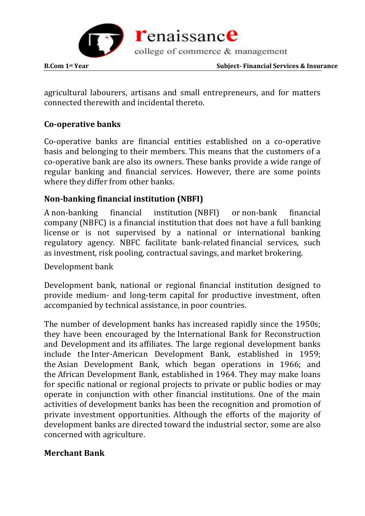

agricultural labourers, artisans and small entrepreneurs, and for matters connected therewith and incidental thereto.

# **Co-operative banks**

Co-operative banks are financial entities established on a co-operative basis and belonging to their members. This means that the customers of a co-operative bank are also its owners. These banks provide a wide range of regular banking and financial services. However, there are some points where they differ from other banks.

# **Non-banking financial institution (NBFI)**

A non-banking financial institution (NBFI) or non-bank financial company (NBFC) is a [financial institution](https://en.wikipedia.org/wiki/Financial_institution) that does not have a [full banking](https://en.wikipedia.org/wiki/Banking_license)  [license](https://en.wikipedia.org/wiki/Banking_license) or is not supervised by a national or international banking regulatory agency. NBFC facilitate bank-related [financial services,](https://en.wikipedia.org/wiki/Financial_services) such as [investment,](https://en.wikipedia.org/wiki/Investment) [risk pooling,](https://en.wikipedia.org/wiki/Risk_pool) [contractual savings,](https://en.wikipedia.org/wiki/Collective_investment_scheme) and [market brokering.](https://en.wikipedia.org/wiki/Stockbroker)

Development bank

Development bank, national or regional financial institution designed to provide medium- and long-term capital for productive investment, often accompanied by [technical assistance,](https://www.britannica.com/topic/technical-assistance) in poor countries.

The number of development banks has increased rapidly since the 1950s; they have been encouraged by the [International Bank for Reconstruction](https://www.britannica.com/topic/International-Bank-for-Reconstruction-and-Development)  [and Development](https://www.britannica.com/topic/International-Bank-for-Reconstruction-and-Development) and its [affiliates.](https://www.merriam-webster.com/dictionary/affiliates) The large regional development banks include the [Inter-American Development Bank,](https://www.britannica.com/topic/Inter-American-Development-Bank) established in 1959; the [Asian Development Bank,](https://www.britannica.com/topic/Asian-Development-Bank) which began operations in 1966; and the [African Development Bank,](https://www.britannica.com/topic/African-Development-Bank) established in 1964. They may make loans for specific national or regional projects to private or public bodies or may operate in conjunction with other financial institutions. One of the main activities of development banks has been the recognition and promotion of private investment opportunities. Although the efforts of the majority of development banks are directed toward the industrial sector, some are also concerned with agriculture.

#### **Merchant Bank**